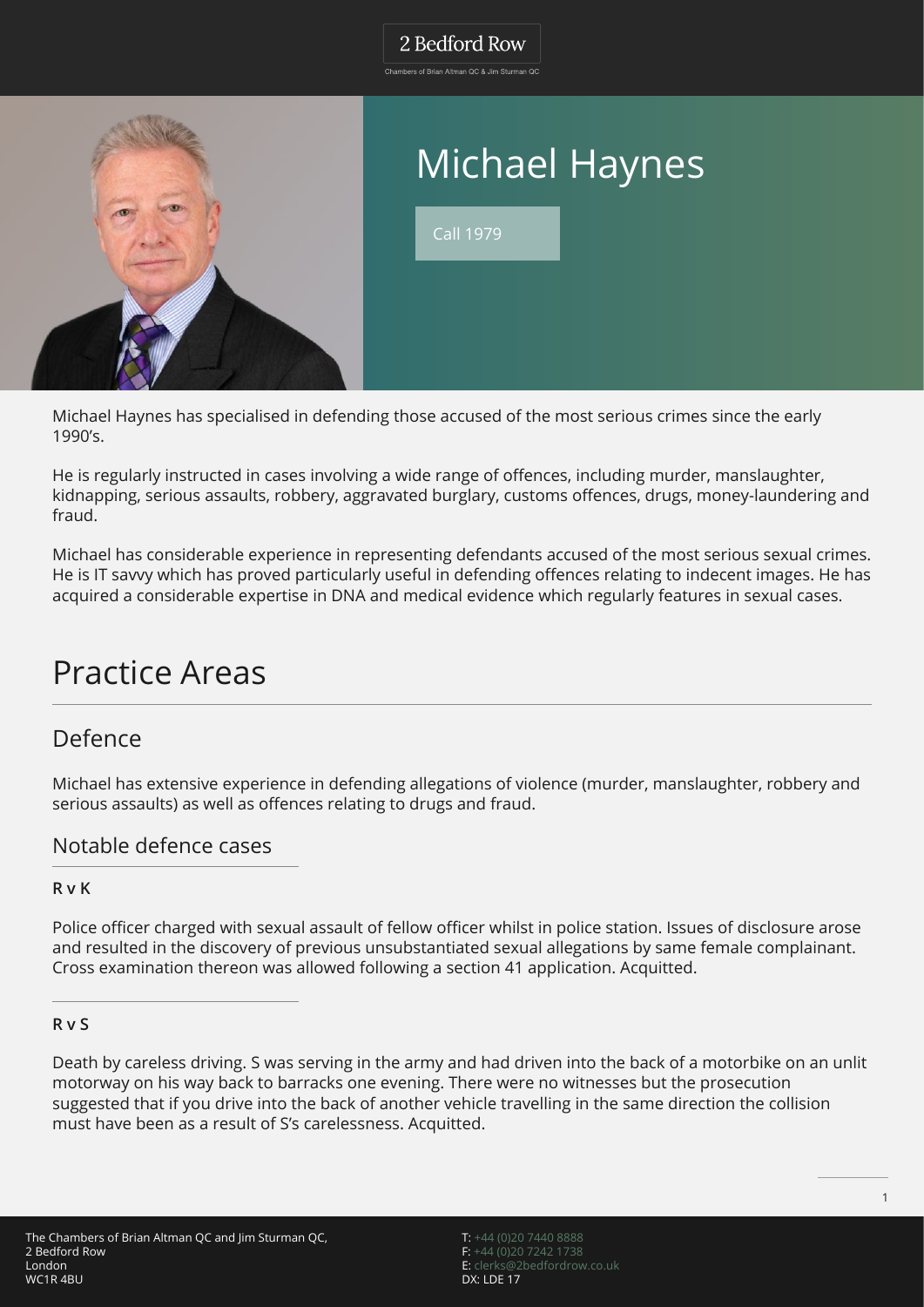## 2 Bedford Row

.<br>Chambers of Brian Altman OC & Jim Sturman OC



# Michael Haynes

Call 1979

Michael Haynes has specialised in defending those accused of the most serious crimes since the early 1990's.

He is regularly instructed in cases involving a wide range of offences, including murder, manslaughter, kidnapping, serious assaults, robbery, aggravated burglary, customs offences, drugs, money-laundering and fraud.

Michael has considerable experience in representing defendants accused of the most serious sexual crimes. He is IT savvy which has proved particularly useful in defending offences relating to indecent images. He has acquired a considerable expertise in DNA and medical evidence which regularly features in sexual cases.

# Practice Areas

## Defence

Michael has extensive experience in defending allegations of violence (murder, manslaughter, robbery and serious assaults) as well as offences relating to drugs and fraud.

### Notable defence cases

### **R v K**

Police officer charged with sexual assault of fellow officer whilst in police station. Issues of disclosure arose and resulted in the discovery of previous unsubstantiated sexual allegations by same female complainant. Cross examination thereon was allowed following a section 41 application. Acquitted.

### **R v S**

Death by careless driving. S was serving in the army and had driven into the back of a motorbike on an unlit motorway on his way back to barracks one evening. There were no witnesses but the prosecution suggested that if you drive into the back of another vehicle travelling in the same direction the collision must have been as a result of S's carelessness. Acquitted.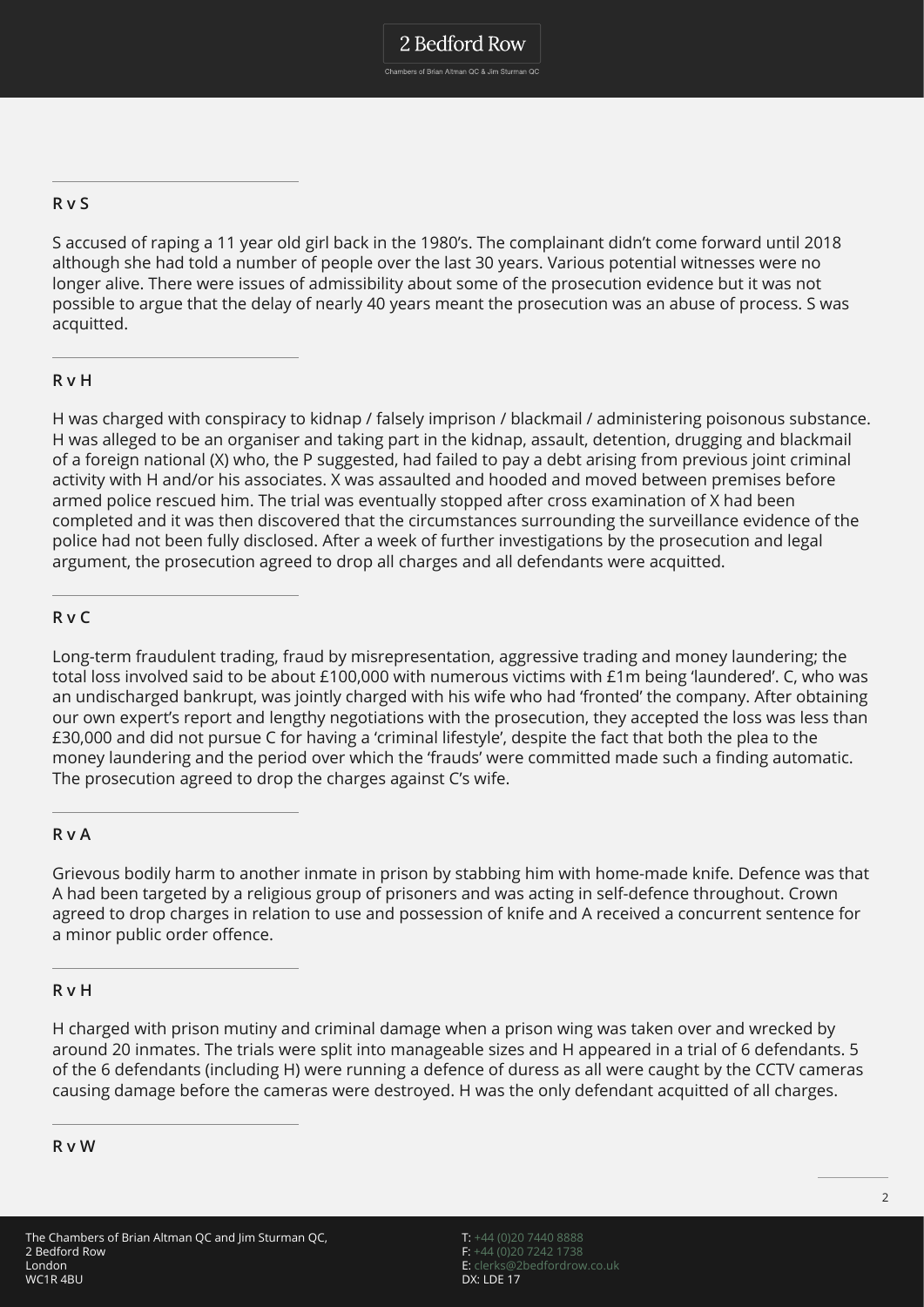### **R v S**

S accused of raping a 11 year old girl back in the 1980's. The complainant didn't come forward until 2018 although she had told a number of people over the last 30 years. Various potential witnesses were no longer alive. There were issues of admissibility about some of the prosecution evidence but it was not possible to argue that the delay of nearly 40 years meant the prosecution was an abuse of process. S was acquitted.

### **R v H**

H was charged with conspiracy to kidnap / falsely imprison / blackmail / administering poisonous substance. H was alleged to be an organiser and taking part in the kidnap, assault, detention, drugging and blackmail of a foreign national (X) who, the P suggested, had failed to pay a debt arising from previous joint criminal activity with H and/or his associates. X was assaulted and hooded and moved between premises before armed police rescued him. The trial was eventually stopped after cross examination of X had been completed and it was then discovered that the circumstances surrounding the surveillance evidence of the police had not been fully disclosed. After a week of further investigations by the prosecution and legal argument, the prosecution agreed to drop all charges and all defendants were acquitted.

### **R v C**

Long-term fraudulent trading, fraud by misrepresentation, aggressive trading and money laundering; the total loss involved said to be about £100,000 with numerous victims with £1m being 'laundered'. C, who was an undischarged bankrupt, was jointly charged with his wife who had 'fronted' the company. After obtaining our own expert's report and lengthy negotiations with the prosecution, they accepted the loss was less than £30,000 and did not pursue C for having a 'criminal lifestyle', despite the fact that both the plea to the money laundering and the period over which the 'frauds' were committed made such a finding automatic. The prosecution agreed to drop the charges against C's wife.

### **R v A**

Grievous bodily harm to another inmate in prison by stabbing him with home-made knife. Defence was that A had been targeted by a religious group of prisoners and was acting in self-defence throughout. Crown agreed to drop charges in relation to use and possession of knife and A received a concurrent sentence for a minor public order offence.

### **R v H**

H charged with prison mutiny and criminal damage when a prison wing was taken over and wrecked by around 20 inmates. The trials were split into manageable sizes and H appeared in a trial of 6 defendants. 5 of the 6 defendants (including H) were running a defence of duress as all were caught by the CCTV cameras causing damage before the cameras were destroyed. H was the only defendant acquitted of all charges.

**R v W**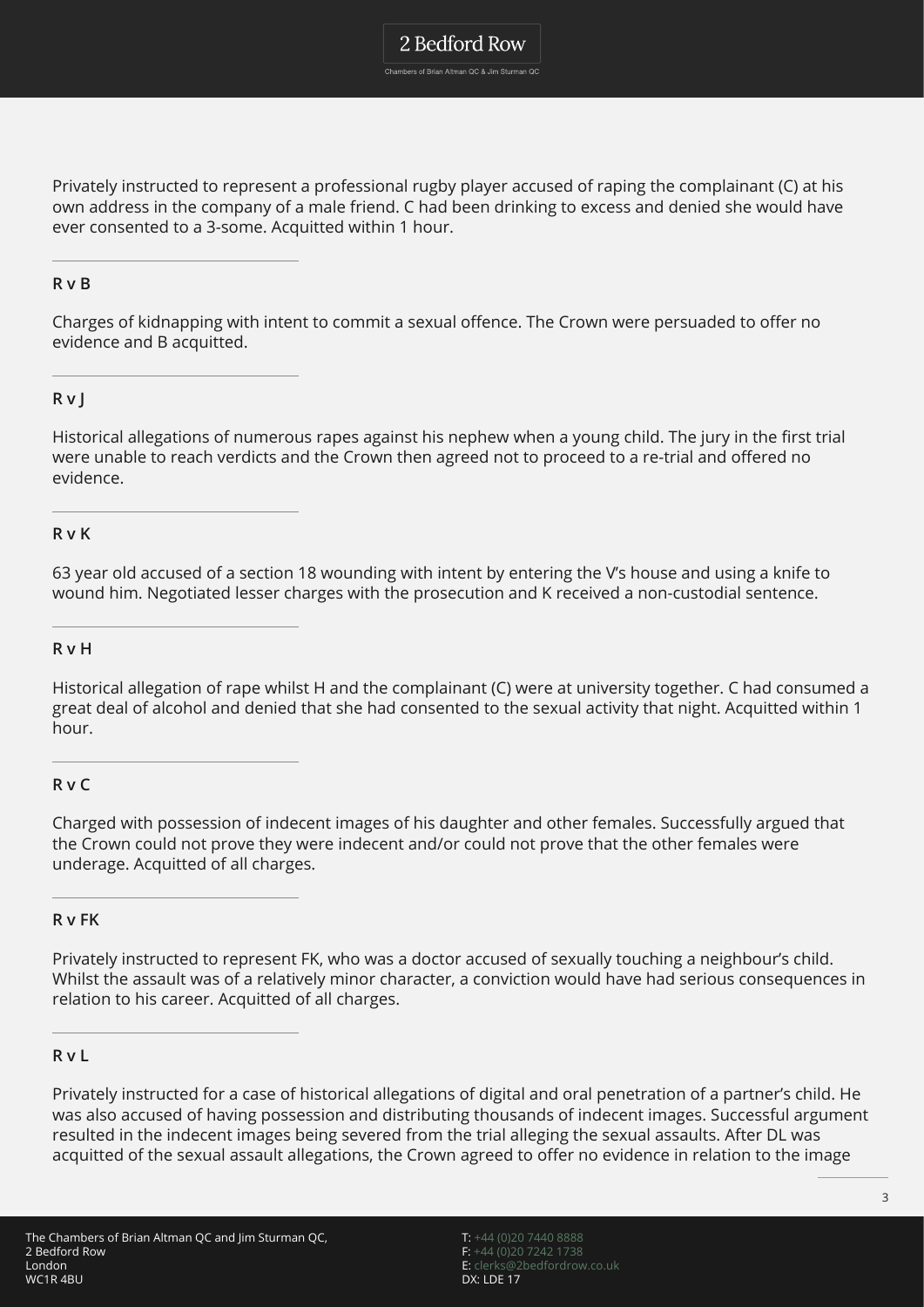### 2 Bedford Row

Chambers of Brian Altman QC & Jim Sturman QC

Privately instructed to represent a professional rugby player accused of raping the complainant (C) at his own address in the company of a male friend. C had been drinking to excess and denied she would have ever consented to a 3-some. Acquitted within 1 hour.

### **R v B**

Charges of kidnapping with intent to commit a sexual offence. The Crown were persuaded to offer no evidence and B acquitted.

### **R v J**

Historical allegations of numerous rapes against his nephew when a young child. The jury in the first trial were unable to reach verdicts and the Crown then agreed not to proceed to a re-trial and offered no evidence.

### **R v K**

63 year old accused of a section 18 wounding with intent by entering the V's house and using a knife to wound him. Negotiated lesser charges with the prosecution and K received a non-custodial sentence.

### **R v H**

Historical allegation of rape whilst H and the complainant (C) were at university together. C had consumed a great deal of alcohol and denied that she had consented to the sexual activity that night. Acquitted within 1 hour.

### **R v C**

Charged with possession of indecent images of his daughter and other females. Successfully argued that the Crown could not prove they were indecent and/or could not prove that the other females were underage. Acquitted of all charges.

### **R v FK**

Privately instructed to represent FK, who was a doctor accused of sexually touching a neighbour's child. Whilst the assault was of a relatively minor character, a conviction would have had serious consequences in relation to his career. Acquitted of all charges.

### **R v L**

Privately instructed for a case of historical allegations of digital and oral penetration of a partner's child. He was also accused of having possession and distributing thousands of indecent images. Successful argument resulted in the indecent images being severed from the trial alleging the sexual assaults. After DL was acquitted of the sexual assault allegations, the Crown agreed to offer no evidence in relation to the image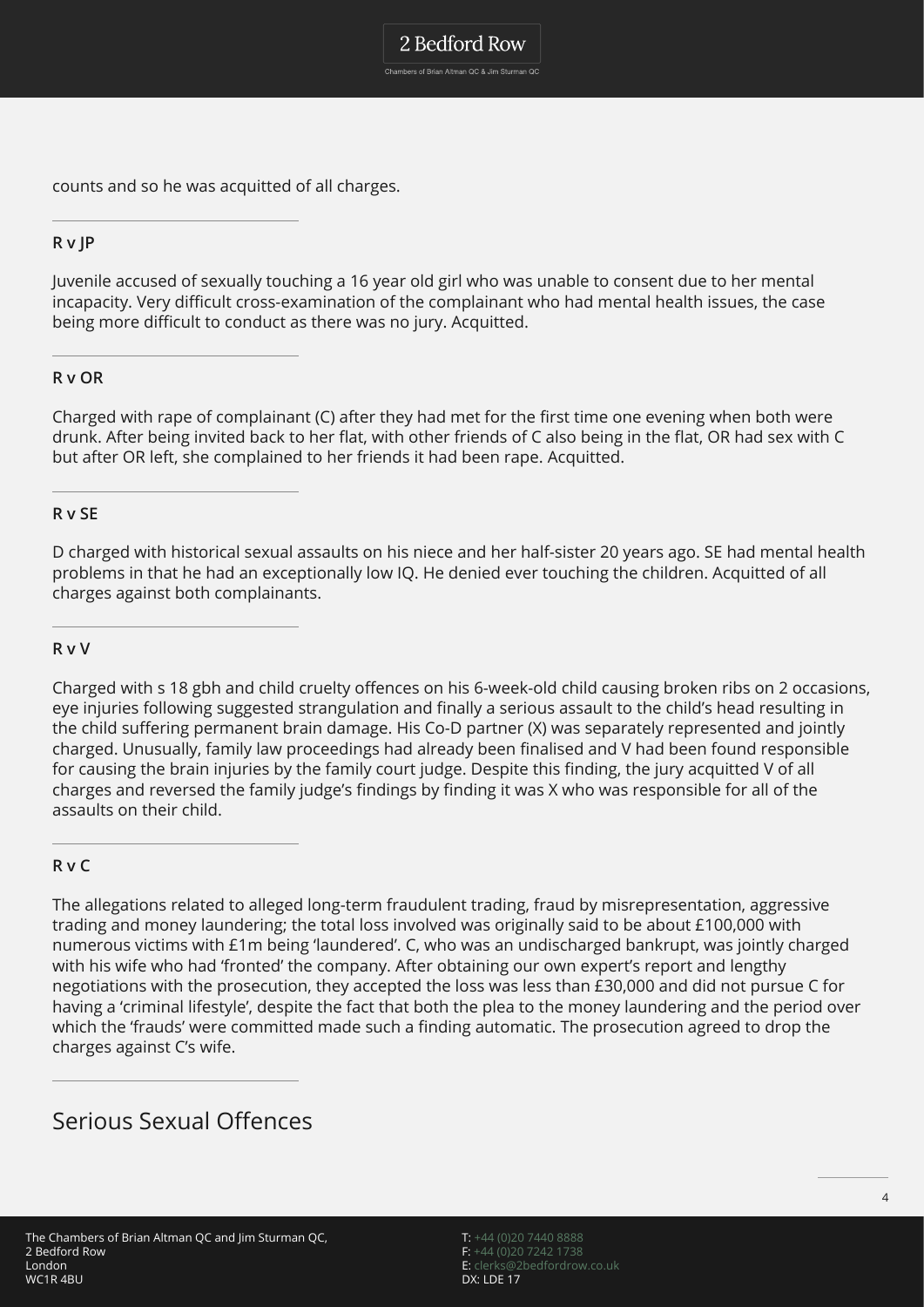counts and so he was acquitted of all charges.

### **R v JP**

Juvenile accused of sexually touching a 16 year old girl who was unable to consent due to her mental incapacity. Very difficult cross-examination of the complainant who had mental health issues, the case being more difficult to conduct as there was no jury. Acquitted.

2 Bedford Row Chambers of Brian Altman QC & Jim Sturman QC

### **R v OR**

Charged with rape of complainant (C) after they had met for the first time one evening when both were drunk. After being invited back to her flat, with other friends of C also being in the flat, OR had sex with C but after OR left, she complained to her friends it had been rape. Acquitted.

### **R v SE**

D charged with historical sexual assaults on his niece and her half-sister 20 years ago. SE had mental health problems in that he had an exceptionally low IQ. He denied ever touching the children. Acquitted of all charges against both complainants.

### **R v V**

Charged with s 18 gbh and child cruelty offences on his 6-week-old child causing broken ribs on 2 occasions, eye injuries following suggested strangulation and finally a serious assault to the child's head resulting in the child suffering permanent brain damage. His Co-D partner (X) was separately represented and jointly charged. Unusually, family law proceedings had already been finalised and V had been found responsible for causing the brain injuries by the family court judge. Despite this finding, the jury acquitted V of all charges and reversed the family judge's findings by finding it was X who was responsible for all of the assaults on their child.

### **R v C**

The allegations related to alleged long-term fraudulent trading, fraud by misrepresentation, aggressive trading and money laundering; the total loss involved was originally said to be about £100,000 with numerous victims with £1m being 'laundered'. C, who was an undischarged bankrupt, was jointly charged with his wife who had 'fronted' the company. After obtaining our own expert's report and lengthy negotiations with the prosecution, they accepted the loss was less than £30,000 and did not pursue C for having a 'criminal lifestyle', despite the fact that both the plea to the money laundering and the period over which the 'frauds' were committed made such a finding automatic. The prosecution agreed to drop the charges against C's wife.

Serious Sexual Offences

T: [+44 \(0\)20 7440 8888](#page--1-0) F: [+44 \(0\)20 7242 1738](#page--1-0) E: [clerks@2bedfordrow.co.uk](mailto:clerks@2bedfordrow.co.uk) DX: LDE 17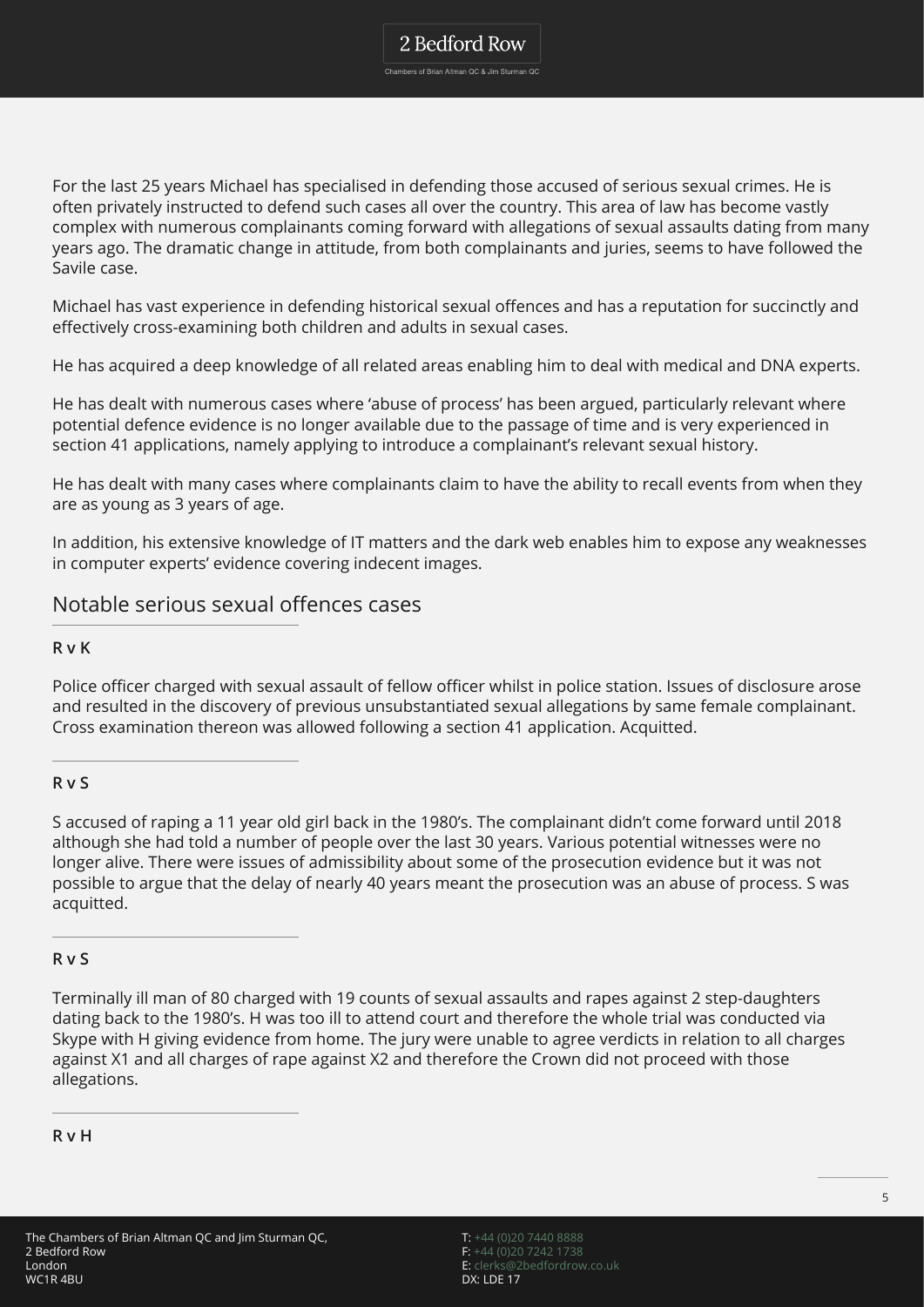For the last 25 years Michael has specialised in defending those accused of serious sexual crimes. He is often privately instructed to defend such cases all over the country. This area of law has become vastly complex with numerous complainants coming forward with allegations of sexual assaults dating from many years ago. The dramatic change in attitude, from both complainants and juries, seems to have followed the Savile case.

Michael has vast experience in defending historical sexual offences and has a reputation for succinctly and effectively cross-examining both children and adults in sexual cases.

He has acquired a deep knowledge of all related areas enabling him to deal with medical and DNA experts.

He has dealt with numerous cases where 'abuse of process' has been argued, particularly relevant where potential defence evidence is no longer available due to the passage of time and is very experienced in section 41 applications, namely applying to introduce a complainant's relevant sexual history.

He has dealt with many cases where complainants claim to have the ability to recall events from when they are as young as 3 years of age.

In addition, his extensive knowledge of IT matters and the dark web enables him to expose any weaknesses in computer experts' evidence covering indecent images.

### Notable serious sexual offences cases

### **R v K**

Police officer charged with sexual assault of fellow officer whilst in police station. Issues of disclosure arose and resulted in the discovery of previous unsubstantiated sexual allegations by same female complainant. Cross examination thereon was allowed following a section 41 application. Acquitted.

### **R v S**

S accused of raping a 11 year old girl back in the 1980's. The complainant didn't come forward until 2018 although she had told a number of people over the last 30 years. Various potential witnesses were no longer alive. There were issues of admissibility about some of the prosecution evidence but it was not possible to argue that the delay of nearly 40 years meant the prosecution was an abuse of process. S was acquitted.

### **R v S**

Terminally ill man of 80 charged with 19 counts of sexual assaults and rapes against 2 step-daughters dating back to the 1980's. H was too ill to attend court and therefore the whole trial was conducted via Skype with H giving evidence from home. The jury were unable to agree verdicts in relation to all charges against X1 and all charges of rape against X2 and therefore the Crown did not proceed with those allegations.

**R v H**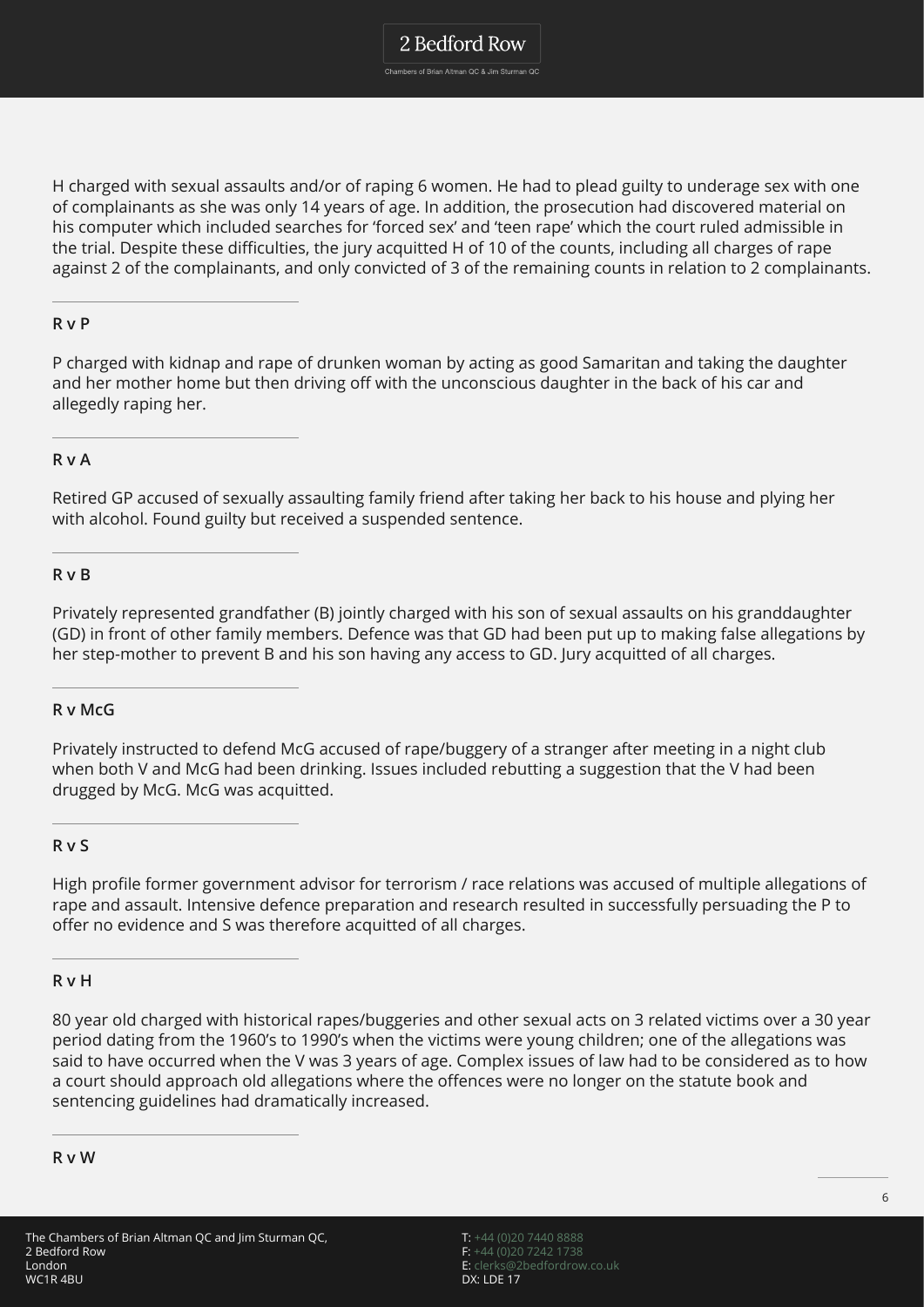Chambers of Brian Altman QC & Jim Sturman QC

H charged with sexual assaults and/or of raping 6 women. He had to plead guilty to underage sex with one of complainants as she was only 14 years of age. In addition, the prosecution had discovered material on his computer which included searches for 'forced sex' and 'teen rape' which the court ruled admissible in the trial. Despite these difficulties, the jury acquitted H of 10 of the counts, including all charges of rape against 2 of the complainants, and only convicted of 3 of the remaining counts in relation to 2 complainants.

### **R v P**

P charged with kidnap and rape of drunken woman by acting as good Samaritan and taking the daughter and her mother home but then driving off with the unconscious daughter in the back of his car and allegedly raping her.

### **R v A**

Retired GP accused of sexually assaulting family friend after taking her back to his house and plying her with alcohol. Found guilty but received a suspended sentence.

### **R v B**

Privately represented grandfather (B) jointly charged with his son of sexual assaults on his granddaughter (GD) in front of other family members. Defence was that GD had been put up to making false allegations by her step-mother to prevent B and his son having any access to GD. Jury acquitted of all charges.

### **R v McG**

Privately instructed to defend McG accused of rape/buggery of a stranger after meeting in a night club when both V and McG had been drinking. Issues included rebutting a suggestion that the V had been drugged by McG. McG was acquitted.

### **R v S**

High profile former government advisor for terrorism / race relations was accused of multiple allegations of rape and assault. Intensive defence preparation and research resulted in successfully persuading the P to offer no evidence and S was therefore acquitted of all charges.

### **R v H**

80 year old charged with historical rapes/buggeries and other sexual acts on 3 related victims over a 30 year period dating from the 1960's to 1990's when the victims were young children; one of the allegations was said to have occurred when the V was 3 years of age. Complex issues of law had to be considered as to how a court should approach old allegations where the offences were no longer on the statute book and sentencing guidelines had dramatically increased.

### **R v W**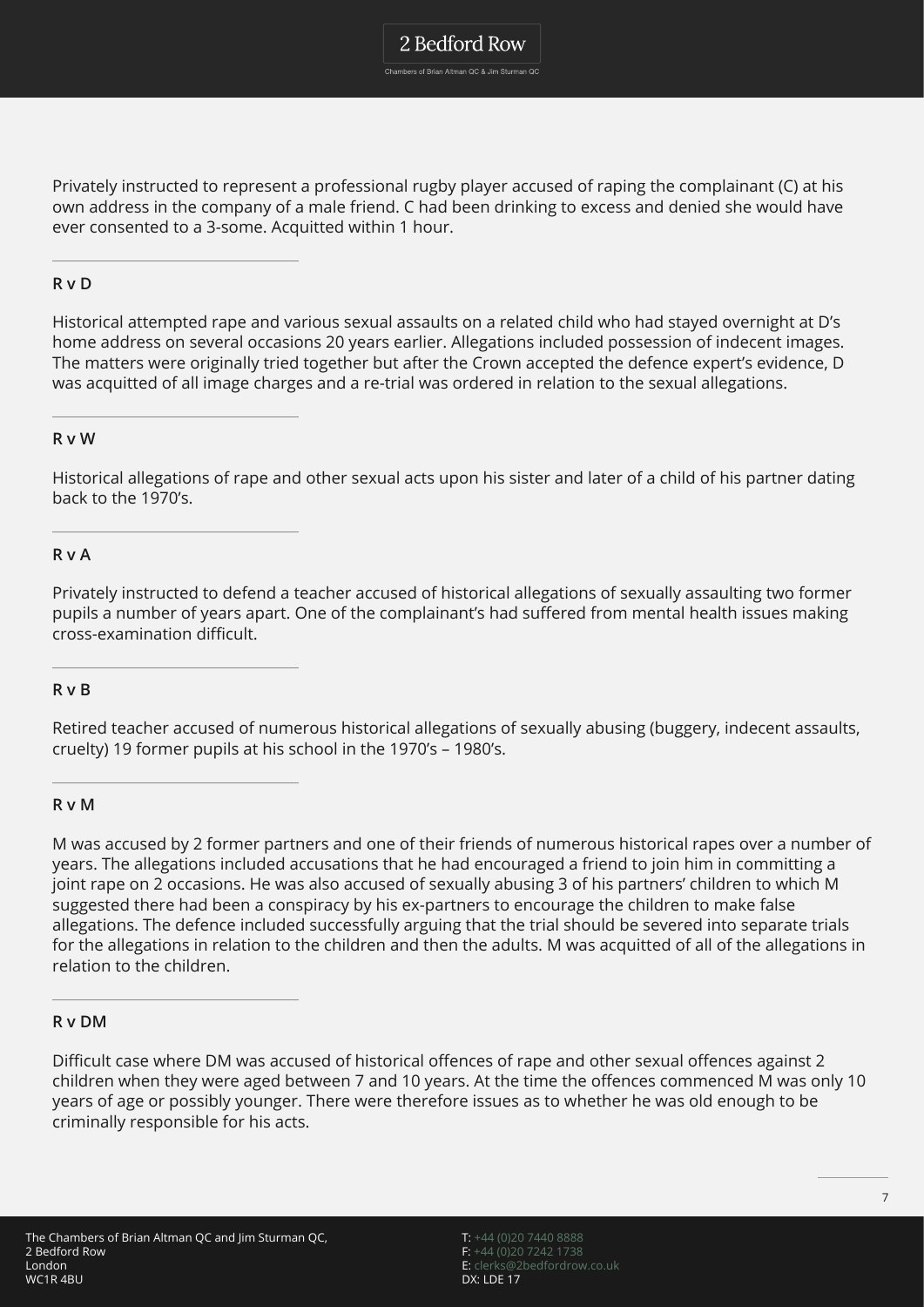Chambers of Brian Altman QC & Jim Sturman QC

Privately instructed to represent a professional rugby player accused of raping the complainant (C) at his own address in the company of a male friend. C had been drinking to excess and denied she would have ever consented to a 3-some. Acquitted within 1 hour.

### **R v D**

Historical attempted rape and various sexual assaults on a related child who had stayed overnight at D's home address on several occasions 20 years earlier. Allegations included possession of indecent images. The matters were originally tried together but after the Crown accepted the defence expert's evidence, D was acquitted of all image charges and a re-trial was ordered in relation to the sexual allegations.

### **R v W**

Historical allegations of rape and other sexual acts upon his sister and later of a child of his partner dating back to the 1970's.

#### **R v A**

Privately instructed to defend a teacher accused of historical allegations of sexually assaulting two former pupils a number of years apart. One of the complainant's had suffered from mental health issues making cross-examination difficult.

### **R v B**

Retired teacher accused of numerous historical allegations of sexually abusing (buggery, indecent assaults, cruelty) 19 former pupils at his school in the 1970's – 1980's.

#### **R v M**

M was accused by 2 former partners and one of their friends of numerous historical rapes over a number of years. The allegations included accusations that he had encouraged a friend to join him in committing a joint rape on 2 occasions. He was also accused of sexually abusing 3 of his partners' children to which M suggested there had been a conspiracy by his ex-partners to encourage the children to make false allegations. The defence included successfully arguing that the trial should be severed into separate trials for the allegations in relation to the children and then the adults. M was acquitted of all of the allegations in relation to the children.

#### **R v DM**

Difficult case where DM was accused of historical offences of rape and other sexual offences against 2 children when they were aged between 7 and 10 years. At the time the offences commenced M was only 10 years of age or possibly younger. There were therefore issues as to whether he was old enough to be criminally responsible for his acts.

T: [+44 \(0\)20 7440 8888](#page--1-0) F: [+44 \(0\)20 7242 1738](#page--1-0) E: [clerks@2bedfordrow.co.uk](mailto:clerks@2bedfordrow.co.uk) DX: LDE 17